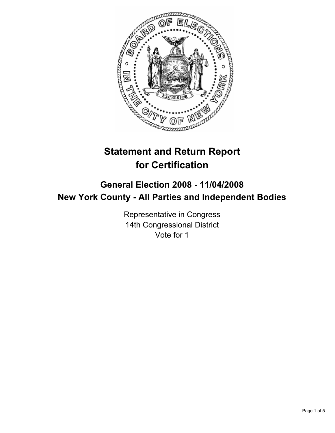

# **Statement and Return Report for Certification**

# **General Election 2008 - 11/04/2008 New York County - All Parties and Independent Bodies**

Representative in Congress 14th Congressional District Vote for 1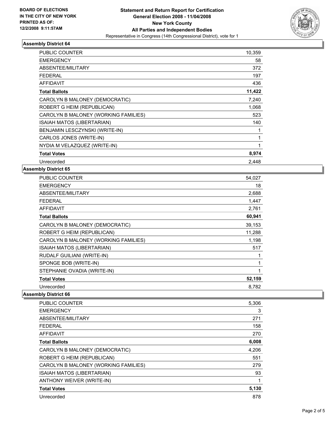

### **Assembly District 64**

| PUBLIC COUNTER                       | 10,359 |
|--------------------------------------|--------|
| <b>EMERGENCY</b>                     | 58     |
| <b>ABSENTEE/MILITARY</b>             | 372    |
| <b>FEDERAL</b>                       | 197    |
| <b>AFFIDAVIT</b>                     | 436    |
| <b>Total Ballots</b>                 | 11,422 |
| CAROLYN B MALONEY (DEMOCRATIC)       | 7,240  |
| ROBERT G HEIM (REPUBLICAN)           | 1,068  |
| CAROLYN B MALONEY (WORKING FAMILIES) | 523    |
| ISAIAH MATOS (LIBERTARIAN)           | 140    |
| BENJAMIN LESCZYNSKI (WRITE-IN)       |        |
| CARLOS JONES (WRITE-IN)              |        |
| NYDIA M VELAZQUEZ (WRITE-IN)         |        |
| <b>Total Votes</b>                   | 8,974  |
| Unrecorded                           | 2.448  |

### **Assembly District 65**

| <b>PUBLIC COUNTER</b>                | 54,027 |
|--------------------------------------|--------|
| <b>EMERGENCY</b>                     | 18     |
| ABSENTEE/MILITARY                    | 2,688  |
| <b>FEDERAL</b>                       | 1,447  |
| <b>AFFIDAVIT</b>                     | 2,761  |
| <b>Total Ballots</b>                 | 60,941 |
| CAROLYN B MALONEY (DEMOCRATIC)       | 39,153 |
| ROBERT G HEIM (REPUBLICAN)           | 11,288 |
| CAROLYN B MALONEY (WORKING FAMILIES) | 1,198  |
| ISAIAH MATOS (LIBERTARIAN)           | 517    |
| RUDALF GUILIANI (WRITE-IN)           |        |
| SPONGE BOB (WRITE-IN)                |        |
| STEPHANIE OVADIA (WRITE-IN)          |        |
| <b>Total Votes</b>                   | 52,159 |
| Unrecorded                           | 8.782  |

#### **Assembly District 66**

| <b>PUBLIC COUNTER</b>                | 5,306 |  |
|--------------------------------------|-------|--|
| <b>EMERGENCY</b>                     | 3     |  |
| ABSENTEE/MILITARY                    | 271   |  |
| <b>FEDERAL</b>                       | 158   |  |
| <b>AFFIDAVIT</b>                     | 270   |  |
| <b>Total Ballots</b>                 | 6,008 |  |
| CAROLYN B MALONEY (DEMOCRATIC)       | 4,206 |  |
| ROBERT G HEIM (REPUBLICAN)           | 551   |  |
| CAROLYN B MALONEY (WORKING FAMILIES) | 279   |  |
| <b>ISAIAH MATOS (LIBERTARIAN)</b>    | 93    |  |
| ANTHONY WEIVER (WRITE-IN)            |       |  |
| <b>Total Votes</b>                   | 5,130 |  |
| Unrecorded                           | 878   |  |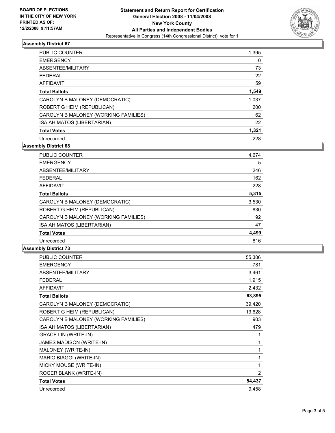

### **Assembly District 67**

| <b>PUBLIC COUNTER</b>                | 1,395 |
|--------------------------------------|-------|
| <b>EMERGENCY</b>                     | 0     |
| ABSENTEE/MILITARY                    | 73    |
| <b>FEDERAL</b>                       | 22    |
| <b>AFFIDAVIT</b>                     | 59    |
| <b>Total Ballots</b>                 | 1,549 |
| CAROLYN B MALONEY (DEMOCRATIC)       | 1,037 |
| ROBERT G HEIM (REPUBLICAN)           | 200   |
| CAROLYN B MALONEY (WORKING FAMILIES) | 62    |
| ISAIAH MATOS (LIBERTARIAN)           | 22    |
| <b>Total Votes</b>                   | 1,321 |
| Unrecorded                           | 228   |

**Assembly District 68**

| <b>PUBLIC COUNTER</b>                | 4,674 |
|--------------------------------------|-------|
| <b>EMERGENCY</b>                     | 5     |
| ABSENTEE/MILITARY                    | 246   |
| <b>FEDERAL</b>                       | 162   |
| AFFIDAVIT                            | 228   |
| <b>Total Ballots</b>                 | 5,315 |
| CAROLYN B MALONEY (DEMOCRATIC)       | 3,530 |
| ROBERT G HEIM (REPUBLICAN)           | 830   |
| CAROLYN B MALONEY (WORKING FAMILIES) | 92    |
| ISAIAH MATOS (LIBERTARIAN)           | 47    |
| <b>Total Votes</b>                   | 4,499 |
| Unrecorded                           | 816   |

#### **Assembly District 73**

| PUBLIC COUNTER                       | 55,306         |
|--------------------------------------|----------------|
| <b>EMERGENCY</b>                     | 781            |
| ABSENTEE/MILITARY                    | 3,461          |
| <b>FEDERAL</b>                       | 1,915          |
| <b>AFFIDAVIT</b>                     | 2,432          |
| <b>Total Ballots</b>                 | 63,895         |
| CAROLYN B MALONEY (DEMOCRATIC)       | 39,420         |
| ROBERT G HEIM (REPUBLICAN)           | 13,628         |
| CAROLYN B MALONEY (WORKING FAMILIES) | 903            |
| ISAIAH MATOS (LIBERTARIAN)           | 479            |
| <b>GRACE LIN (WRITE-IN)</b>          |                |
| JAMES MADISON (WRITE-IN)             |                |
| MALONEY (WRITE-IN)                   |                |
| MARIO BIAGGI (WRITE-IN)              |                |
| MICKY MOUSE (WRITE-IN)               |                |
| ROGER BLANK (WRITE-IN)               | $\overline{2}$ |
| <b>Total Votes</b>                   | 54,437         |
| Unrecorded                           | 9,458          |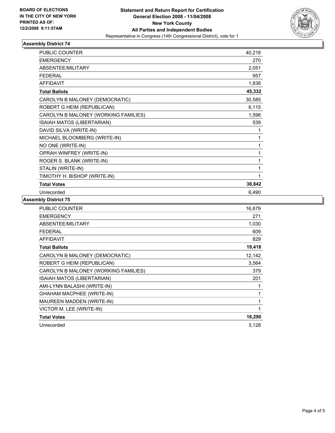

## **Assembly District 74**

| PUBLIC COUNTER                       | 40,218 |
|--------------------------------------|--------|
| <b>EMERGENCY</b>                     | 270    |
| ABSENTEE/MILITARY                    | 2,051  |
| <b>FEDERAL</b>                       | 957    |
| <b>AFFIDAVIT</b>                     | 1,836  |
| <b>Total Ballots</b>                 | 45,332 |
| CAROLYN B MALONEY (DEMOCRATIC)       | 30,585 |
| ROBERT G HEIM (REPUBLICAN)           | 6,115  |
| CAROLYN B MALONEY (WORKING FAMILIES) | 1,596  |
| ISAIAH MATOS (LIBERTARIAN)           | 539    |
| DAVID SILVA (WRITE-IN)               |        |
| MICHAEL BLOOMBERG (WRITE-IN)         |        |
| NO ONE (WRITE-IN)                    |        |
| OPRAH WINFREY (WRITE-IN)             |        |
| ROGER S. BLANK (WRITE-IN)            |        |
| STALIN (WRITE-IN)                    |        |
| TIMOTHY H. BISHOP (WRITE-IN)         |        |
| <b>Total Votes</b>                   | 38,842 |
| Unrecorded                           | 6,490  |

### **Assembly District 75**

| PUBLIC COUNTER                       | 16,679 |
|--------------------------------------|--------|
| <b>EMERGENCY</b>                     | 271    |
| ABSENTEE/MILITARY                    | 1,030  |
| <b>FEDERAL</b>                       | 609    |
| <b>AFFIDAVIT</b>                     | 829    |
| <b>Total Ballots</b>                 | 19,418 |
| CAROLYN B MALONEY (DEMOCRATIC)       | 12,142 |
| ROBERT G HEIM (REPUBLICAN)           | 3,564  |
| CAROLYN B MALONEY (WORKING FAMILIES) | 379    |
| ISAIAH MATOS (LIBERTARIAN)           | 201    |
| AMI-LYNN BALASHI (WRITE-IN)          |        |
| <b>GHAHAM MACPHEE (WRITE-IN)</b>     |        |
| MAUREEN MADDEN (WRITE-IN)            |        |
| VICTOR M. LEE (WRITE-IN)             |        |
| <b>Total Votes</b>                   | 16,290 |
| Unrecorded                           | 3,128  |
|                                      |        |